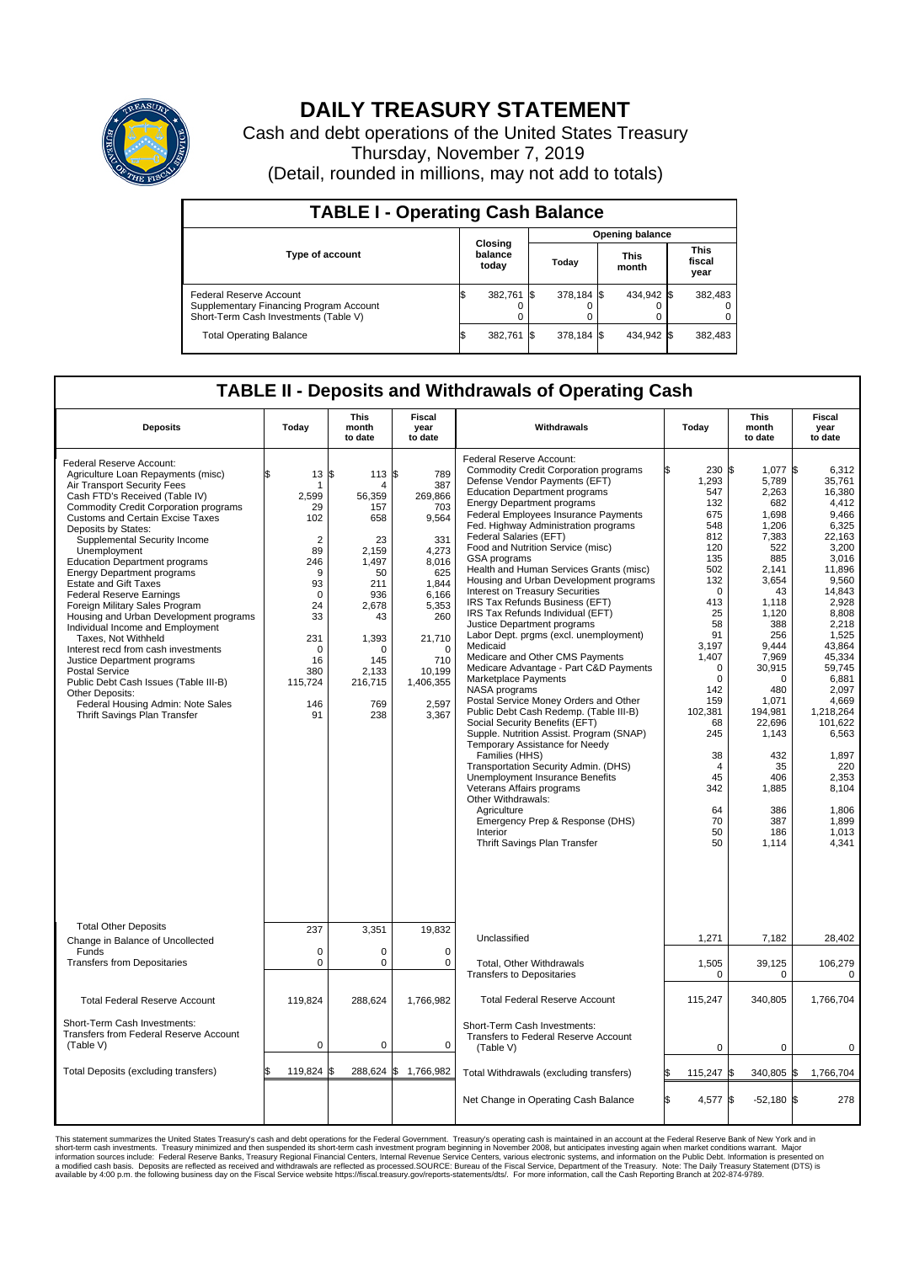

## **DAILY TREASURY STATEMENT**

Cash and debt operations of the United States Treasury Thursday, November 7, 2019 (Detail, rounded in millions, may not add to totals)

| <b>TABLE I - Operating Cash Balance</b>                                                                     |  |                             |  |                        |  |                      |  |                               |  |  |  |
|-------------------------------------------------------------------------------------------------------------|--|-----------------------------|--|------------------------|--|----------------------|--|-------------------------------|--|--|--|
|                                                                                                             |  | Closing<br>balance<br>today |  | <b>Opening balance</b> |  |                      |  |                               |  |  |  |
| <b>Type of account</b>                                                                                      |  |                             |  | Today                  |  | <b>This</b><br>month |  | <b>This</b><br>fiscal<br>year |  |  |  |
| Federal Reserve Account<br>Supplementary Financing Program Account<br>Short-Term Cash Investments (Table V) |  | 382.761 \$                  |  | 378.184 \$             |  | 434.942 \$           |  | 382,483                       |  |  |  |
| <b>Total Operating Balance</b>                                                                              |  | 382.761 \$                  |  | 378.184 \$             |  | 434,942 \$           |  | 382,483                       |  |  |  |

## **TABLE II - Deposits and Withdrawals of Operating Cash**

| <b>Deposits</b>                                                                                                                                                                                                                                                                                                                                                                                                                                                                                                                                                                                                                                                                                                                                                                                                   | Today                                                                                                                                                                | This<br>month<br>to date                                                                                                                                         | Fiscal<br>year<br>to date                                                                                                                                                     | Withdrawals                                                                                                                                                                                                                                                                                                                                                                                                                                                                                                                                                                                                                                                                                                                                                                                                                                                                                                                                                                                                                                                                                                                                                                                                            | Today                                                                                                                                                                                                                                                                     | <b>This</b><br>month<br>to date                                                                                                                                                                                                                                                     | Fiscal<br>year<br>to date                                                                                                                                                                                                                                                                                         |
|-------------------------------------------------------------------------------------------------------------------------------------------------------------------------------------------------------------------------------------------------------------------------------------------------------------------------------------------------------------------------------------------------------------------------------------------------------------------------------------------------------------------------------------------------------------------------------------------------------------------------------------------------------------------------------------------------------------------------------------------------------------------------------------------------------------------|----------------------------------------------------------------------------------------------------------------------------------------------------------------------|------------------------------------------------------------------------------------------------------------------------------------------------------------------|-------------------------------------------------------------------------------------------------------------------------------------------------------------------------------|------------------------------------------------------------------------------------------------------------------------------------------------------------------------------------------------------------------------------------------------------------------------------------------------------------------------------------------------------------------------------------------------------------------------------------------------------------------------------------------------------------------------------------------------------------------------------------------------------------------------------------------------------------------------------------------------------------------------------------------------------------------------------------------------------------------------------------------------------------------------------------------------------------------------------------------------------------------------------------------------------------------------------------------------------------------------------------------------------------------------------------------------------------------------------------------------------------------------|---------------------------------------------------------------------------------------------------------------------------------------------------------------------------------------------------------------------------------------------------------------------------|-------------------------------------------------------------------------------------------------------------------------------------------------------------------------------------------------------------------------------------------------------------------------------------|-------------------------------------------------------------------------------------------------------------------------------------------------------------------------------------------------------------------------------------------------------------------------------------------------------------------|
| Federal Reserve Account:<br>Agriculture Loan Repayments (misc)<br>Air Transport Security Fees<br>Cash FTD's Received (Table IV)<br><b>Commodity Credit Corporation programs</b><br><b>Customs and Certain Excise Taxes</b><br>Deposits by States:<br>Supplemental Security Income<br>Unemployment<br><b>Education Department programs</b><br><b>Energy Department programs</b><br><b>Estate and Gift Taxes</b><br><b>Federal Reserve Earnings</b><br>Foreign Military Sales Program<br>Housing and Urban Development programs<br>Individual Income and Employment<br>Taxes, Not Withheld<br>Interest recd from cash investments<br>Justice Department programs<br>Postal Service<br>Public Debt Cash Issues (Table III-B)<br>Other Deposits:<br>Federal Housing Admin: Note Sales<br>Thrift Savings Plan Transfer | 13<br>\$<br>-1<br>2,599<br>29<br>102<br>$\overline{2}$<br>89<br>246<br>9<br>93<br>$\mathbf 0$<br>24<br>33<br>231<br>$\mathbf 0$<br>16<br>380<br>115,724<br>146<br>91 | 113S<br>\$<br>4<br>56,359<br>157<br>658<br>23<br>2,159<br>1,497<br>50<br>211<br>936<br>2,678<br>43<br>1,393<br>$\Omega$<br>145<br>2,133<br>216,715<br>769<br>238 | 789<br>387<br>269,866<br>703<br>9,564<br>331<br>4,273<br>8,016<br>625<br>1.844<br>6,166<br>5,353<br>260<br>21,710<br>$\Omega$<br>710<br>10,199<br>1,406,355<br>2,597<br>3,367 | <b>Federal Reserve Account:</b><br><b>Commodity Credit Corporation programs</b><br>Defense Vendor Payments (EFT)<br><b>Education Department programs</b><br><b>Energy Department programs</b><br>Federal Employees Insurance Payments<br>Fed. Highway Administration programs<br>Federal Salaries (EFT)<br>Food and Nutrition Service (misc)<br>GSA programs<br>Health and Human Services Grants (misc)<br>Housing and Urban Development programs<br>Interest on Treasury Securities<br>IRS Tax Refunds Business (EFT)<br>IRS Tax Refunds Individual (EFT)<br>Justice Department programs<br>Labor Dept. prgms (excl. unemployment)<br>Medicaid<br>Medicare and Other CMS Payments<br>Medicare Advantage - Part C&D Payments<br>Marketplace Payments<br>NASA programs<br>Postal Service Money Orders and Other<br>Public Debt Cash Redemp. (Table III-B)<br>Social Security Benefits (EFT)<br>Supple. Nutrition Assist. Program (SNAP)<br>Temporary Assistance for Needy<br>Families (HHS)<br>Transportation Security Admin. (DHS)<br>Unemployment Insurance Benefits<br>Veterans Affairs programs<br>Other Withdrawals:<br>Agriculture<br>Emergency Prep & Response (DHS)<br>Interior<br>Thrift Savings Plan Transfer | 230 \$<br>1,293<br>547<br>132<br>675<br>548<br>812<br>120<br>135<br>502<br>132<br>$\mathbf 0$<br>413<br>25<br>58<br>91<br>3.197<br>1,407<br>$\mathbf 0$<br>$\mathbf 0$<br>142<br>159<br>102,381<br>68<br>245<br>38<br>$\overline{4}$<br>45<br>342<br>64<br>70<br>50<br>50 | 1,077 \$<br>5,789<br>2,263<br>682<br>1.698<br>1,206<br>7,383<br>522<br>885<br>2,141<br>3,654<br>43<br>1,118<br>1,120<br>388<br>256<br>9.444<br>7,969<br>30,915<br>$\Omega$<br>480<br>1,071<br>194,981<br>22,696<br>1,143<br>432<br>35<br>406<br>1,885<br>386<br>387<br>186<br>1,114 | 6,312<br>35,761<br>16.380<br>4.412<br>9,466<br>6,325<br>22.163<br>3,200<br>3,016<br>11,896<br>9,560<br>14,843<br>2,928<br>8,808<br>2,218<br>1,525<br>43.864<br>45,334<br>59.745<br>6,881<br>2.097<br>4,669<br>1,218,264<br>101,622<br>6,563<br>1,897<br>220<br>2,353<br>8,104<br>1,806<br>1,899<br>1,013<br>4,341 |
| <b>Total Other Deposits</b><br>Change in Balance of Uncollected                                                                                                                                                                                                                                                                                                                                                                                                                                                                                                                                                                                                                                                                                                                                                   | 237                                                                                                                                                                  | 3,351                                                                                                                                                            | 19,832                                                                                                                                                                        | Unclassified                                                                                                                                                                                                                                                                                                                                                                                                                                                                                                                                                                                                                                                                                                                                                                                                                                                                                                                                                                                                                                                                                                                                                                                                           | 1,271                                                                                                                                                                                                                                                                     | 7,182                                                                                                                                                                                                                                                                               | 28,402                                                                                                                                                                                                                                                                                                            |
| Funds<br><b>Transfers from Depositaries</b>                                                                                                                                                                                                                                                                                                                                                                                                                                                                                                                                                                                                                                                                                                                                                                       | $\mathbf 0$<br>$\pmb{0}$                                                                                                                                             | 0<br>0                                                                                                                                                           | 0<br>$\mathbf 0$                                                                                                                                                              | Total, Other Withdrawals<br><b>Transfers to Depositaries</b>                                                                                                                                                                                                                                                                                                                                                                                                                                                                                                                                                                                                                                                                                                                                                                                                                                                                                                                                                                                                                                                                                                                                                           | 1,505<br>$\mathbf 0$                                                                                                                                                                                                                                                      | 39,125<br>$\mathbf 0$                                                                                                                                                                                                                                                               | 106,279<br>$\mathbf 0$                                                                                                                                                                                                                                                                                            |
| <b>Total Federal Reserve Account</b>                                                                                                                                                                                                                                                                                                                                                                                                                                                                                                                                                                                                                                                                                                                                                                              | 119,824                                                                                                                                                              | 288,624                                                                                                                                                          | 1,766,982                                                                                                                                                                     | <b>Total Federal Reserve Account</b>                                                                                                                                                                                                                                                                                                                                                                                                                                                                                                                                                                                                                                                                                                                                                                                                                                                                                                                                                                                                                                                                                                                                                                                   | 115,247                                                                                                                                                                                                                                                                   | 340,805                                                                                                                                                                                                                                                                             | 1,766,704                                                                                                                                                                                                                                                                                                         |
| Short-Term Cash Investments:<br>Transfers from Federal Reserve Account<br>(Table V)                                                                                                                                                                                                                                                                                                                                                                                                                                                                                                                                                                                                                                                                                                                               | $\mathbf 0$                                                                                                                                                          | 0                                                                                                                                                                | $\Omega$                                                                                                                                                                      | Short-Term Cash Investments:<br>Transfers to Federal Reserve Account<br>(Table V)                                                                                                                                                                                                                                                                                                                                                                                                                                                                                                                                                                                                                                                                                                                                                                                                                                                                                                                                                                                                                                                                                                                                      | 0                                                                                                                                                                                                                                                                         | 0                                                                                                                                                                                                                                                                                   | 0                                                                                                                                                                                                                                                                                                                 |
| Total Deposits (excluding transfers)                                                                                                                                                                                                                                                                                                                                                                                                                                                                                                                                                                                                                                                                                                                                                                              | 119,824                                                                                                                                                              | \$                                                                                                                                                               | 288,624 \$ 1,766,982                                                                                                                                                          | Total Withdrawals (excluding transfers)                                                                                                                                                                                                                                                                                                                                                                                                                                                                                                                                                                                                                                                                                                                                                                                                                                                                                                                                                                                                                                                                                                                                                                                | ß.<br>115,247                                                                                                                                                                                                                                                             | 340,805 \$<br><b>S</b>                                                                                                                                                                                                                                                              | 1,766,704                                                                                                                                                                                                                                                                                                         |
|                                                                                                                                                                                                                                                                                                                                                                                                                                                                                                                                                                                                                                                                                                                                                                                                                   |                                                                                                                                                                      |                                                                                                                                                                  |                                                                                                                                                                               | Net Change in Operating Cash Balance                                                                                                                                                                                                                                                                                                                                                                                                                                                                                                                                                                                                                                                                                                                                                                                                                                                                                                                                                                                                                                                                                                                                                                                   | l\$<br>4.577 \$                                                                                                                                                                                                                                                           | $-52,180$ \$                                                                                                                                                                                                                                                                        | 278                                                                                                                                                                                                                                                                                                               |

This statement summarizes the United States Treasury's cash and debt operations for the Federal Government. Treasury soperating in November 2008, but anticiarded in a cocount at the Federal metaformation sources investment